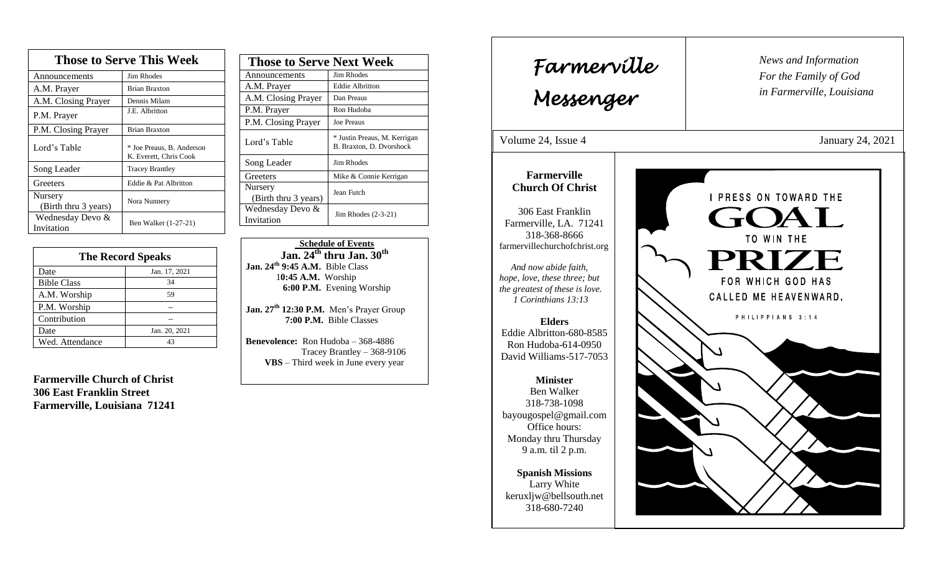| <b>Those to Serve This Week</b> |                                                     |  |
|---------------------------------|-----------------------------------------------------|--|
| Announcements                   | <b>Jim Rhodes</b>                                   |  |
| A.M. Prayer                     | <b>Brian Braxton</b>                                |  |
| A.M. Closing Prayer             | Dennis Milam                                        |  |
| P.M. Prayer                     | J.E. Albritton                                      |  |
| P.M. Closing Prayer             | <b>Brian Braxton</b>                                |  |
| Lord's Table                    | * Joe Preaus, B. Anderson<br>K. Everett, Chris Cook |  |
| Song Leader                     | <b>Tracey Brantley</b>                              |  |
| Greeters                        | Eddie & Pat Albritton                               |  |
| Nursery<br>(Birth thru 3 years) | Nora Nunnery                                        |  |
| Wednesday Devo &<br>Invitation  | Ben Walker (1-27-21)                                |  |

| <b>The Record Speaks</b> |               |
|--------------------------|---------------|
| Date                     | Jan. 17, 2021 |
| <b>Bible Class</b>       | 34            |
| A.M. Worship             | 59            |
| P.M. Worship             |               |
| Contribution             |               |
| Date                     | Jan. 20, 2021 |
| Wed. Attendance          | 43            |

**Farmerville Church of Christ 306 East Franklin Street Farmerville, Louisiana 71241**

| <b>Those to Serve Next Week</b> |                                                          |
|---------------------------------|----------------------------------------------------------|
| Announcements                   | Jim Rhodes                                               |
| A.M. Prayer                     | <b>Eddie Albritton</b>                                   |
| A.M. Closing Prayer             | Dan Preaus                                               |
| P.M. Prayer                     | Ron Hudoba                                               |
| P.M. Closing Prayer             | <b>Joe Preaus</b>                                        |
| Lord's Table                    | * Justin Preaus, M. Kerrigan<br>B. Braxton, D. Dvorshock |
| Song Leader                     | Jim Rhodes                                               |
| Greeters                        | Mike & Connie Kerrigan                                   |
| Nursery<br>(Birth thru 3 years) | Jean Futch                                               |
| Wednesday Devo &<br>Invitation  | Jim Rhodes $(2-3-21)$                                    |

 **Schedule of Events Jan. 24th thru Jan. 30th Jan. 24th 9:45 A.M.** Bible Class 1**0:45 A.M.** Worship  **6:00 P.M.** Evening Worship

**Jan. 27 th 12:30 P.M.** Men's Prayer Group **7:00 P.M.** Bible Classes

**Benevolence:** Ron Hudoba – 368-4886 Tracey Brantley – 368-9106 **VBS** – Third week in June every year